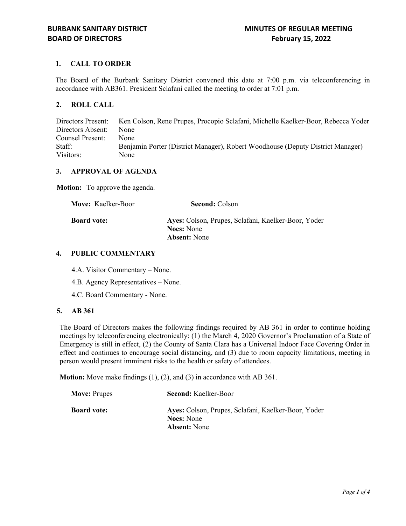# **1. CALL TO ORDER**

The Board of the Burbank Sanitary District convened this date at 7:00 p.m. via teleconferencing in accordance with AB361. President Sclafani called the meeting to order at 7:01 p.m.

# **2. ROLL CALL**

Directors Present: Ken Colson, Rene Prupes, Procopio Sclafani, Michelle Kaelker-Boor, Rebecca Yoder Directors Absent: None Counsel Present: None Staff: Benjamin Porter (District Manager), Robert Woodhouse (Deputy District Manager) Visitors: None

# **3. APPROVAL OF AGENDA**

**Motion:** To approve the agenda.

| <b>Move:</b> Kaelker-Boor | <b>Second: Colson</b>                               |
|---------------------------|-----------------------------------------------------|
| <b>Board vote:</b>        | Ayes: Colson, Prupes, Sclafani, Kaelker-Boor, Yoder |
|                           | <b>Noes:</b> None                                   |
|                           | <b>Absent:</b> None                                 |

## **4. PUBLIC COMMENTARY**

4.A. Visitor Commentary – None.

- 4.B. Agency Representatives None.
- 4.C. Board Commentary None.

#### **5. AB 361**

The Board of Directors makes the following findings required by AB 361 in order to continue holding meetings by teleconferencing electronically: (1) the March 4, 2020 Governor's Proclamation of a State of Emergency is still in effect, (2) the County of Santa Clara has a Universal Indoor Face Covering Order in effect and continues to encourage social distancing, and (3) due to room capacity limitations, meeting in person would present imminent risks to the health or safety of attendees.

**Motion:** Move make findings (1), (2), and (3) in accordance with AB 361.

| <b>Move: Prupes</b> | <b>Second:</b> Kaelker-Boor                                              |
|---------------------|--------------------------------------------------------------------------|
| <b>Board vote:</b>  | Ayes: Colson, Prupes, Sclafani, Kaelker-Boor, Yoder<br><b>Noes:</b> None |
|                     | <b>Absent:</b> None                                                      |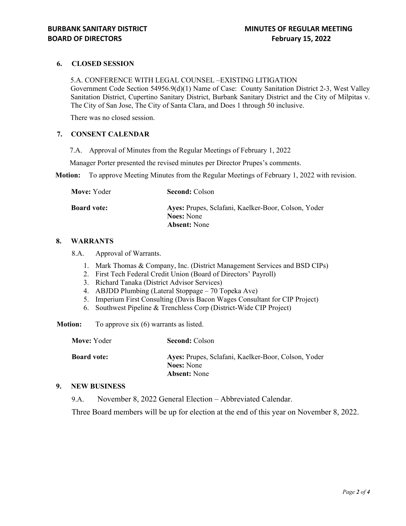# **6. CLOSED SESSION**

5.A. CONFERENCE WITH LEGAL COUNSEL –EXISTING LITIGATION Government Code Section 54956.9(d)(1) Name of Case: County Sanitation District 2-3, West Valley Sanitation District, Cupertino Sanitary District, Burbank Sanitary District and the City of Milpitas v. The City of San Jose, The City of Santa Clara, and Does 1 through 50 inclusive.

There was no closed session.

## **7. CONSENT CALENDAR**

7.A. Approval of Minutes from the Regular Meetings of February 1, 2022

Manager Porter presented the revised minutes per Director Prupes's comments.

**Motion:** To approve Meeting Minutes from the Regular Meetings of February 1, 2022 with revision.

| Move: Yoder        | <b>Second: Colson</b>                               |
|--------------------|-----------------------------------------------------|
| <b>Board vote:</b> | Ayes: Prupes, Sclafani, Kaelker-Boor, Colson, Yoder |
|                    | <b>Noes:</b> None                                   |
|                    | <b>Absent:</b> None                                 |

#### **8. WARRANTS**

8.A. Approval of Warrants.

- 1. Mark Thomas & Company, Inc. (District Management Services and BSD CIPs)
- 2. First Tech Federal Credit Union (Board of Directors' Payroll)
- 3. Richard Tanaka (District Advisor Services)
- 4. ABJDD Plumbing (Lateral Stoppage 70 Topeka Ave)
- 5. Imperium First Consulting (Davis Bacon Wages Consultant for CIP Project)
- 6. Southwest Pipeline & Trenchless Corp (District-Wide CIP Project)

**Motion:** To approve six (6) warrants as listed.

| Move: Yoder        | <b>Second: Colson</b>                                                                           |
|--------------------|-------------------------------------------------------------------------------------------------|
| <b>Board vote:</b> | Ayes: Prupes, Sclafani, Kaelker-Boor, Colson, Yoder<br><b>Noes:</b> None<br><b>Absent:</b> None |

### **9. NEW BUSINESS**

9.A. November 8, 2022 General Election – Abbreviated Calendar.

Three Board members will be up for election at the end of this year on November 8, 2022.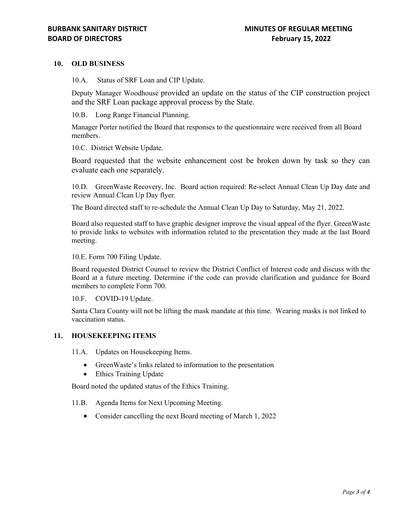## **10. OLD BUSINESS**

10.A. Status of SRF Loan and CIP Update.

Deputy Manager Woodhouse provided an update on the status of the CIP construction project and the SRF Loan package approval process by the State.

10.B. Long Range Financial Planning.

Manager Porter notified the Board that responses to the questionnaire were received from all Board members.

10.C. District Website Update.

Board requested that the website enhancement cost be broken down by task so they can evaluate each one separately.

10.D. GreenWaste Recovery, Inc. Board action required: Re-select Annual Clean Up Day date and review Annual Clean Up Day flyer.

The Board directed staff to re-schedule the Annual Clean Up Day to Saturday, May 21, 2022.

Board also requested staff to have graphic designer improve the visual appeal of the flyer. GreenWaste to provide links to websites with information related to the presentation they made at the last Board meeting.

10.E. Form 700 Filing Update.

Board requested District Counsel to review the District Conflict of Interest code and discuss with the Board at a future meeting. Determine if the code can provide clarification and guidance for Board members to complete Form 700.

10.F. COVID-19 Update.

Santa Clara County will not be lifting the mask mandate at this time. Wearing masks is not linked to vaccination status.

## **11. HOUSEKEEPING ITEMS**

11.A. Updates on Housekeeping Items.

- GreenWaste's links related to information to the presentation
- Ethics Training Update

Board noted the updated status of the Ethics Training.

- 11.B. Agenda Items for Next Upcoming Meeting.
	- Consider cancelling the next Board meeting of March 1, 2022